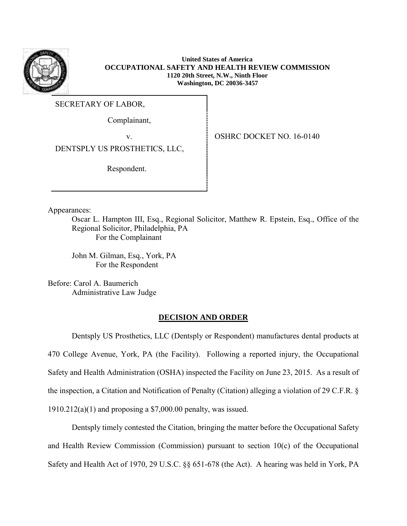

**United States of America OCCUPATIONAL SAFETY AND HEALTH REVIEW COMMISSION 1120 20th Street, N.W., Ninth Floor Washington, DC 20036-3457**

SECRETARY OF LABOR,

Complainant,

v.OSHRC DOCKET NO. 16-0140

DENTSPLY US PROSTHETICS, LLC,

Respondent.

Appearances:

Oscar L. Hampton III, Esq., Regional Solicitor, Matthew R. Epstein, Esq., Office of the Regional Solicitor, Philadelphia, PA For the Complainant

John M. Gilman, Esq., York, PA For the Respondent

Before: Carol A. Baumerich Administrative Law Judge

# **DECISION AND ORDER**

Dentsply US Prosthetics, LLC (Dentsply or Respondent) manufactures dental products at 470 College Avenue, York, PA (the Facility). Following a reported injury, the Occupational Safety and Health Administration (OSHA) inspected the Facility on June 23, 2015. As a result of the inspection, a Citation and Notification of Penalty (Citation) alleging a violation of 29 C.F.R. §  $1910.212(a)(1)$  and proposing a \$7,000.00 penalty, was issued.

Dentsply timely contested the Citation, bringing the matter before the Occupational Safety and Health Review Commission (Commission) pursuant to section 10(c) of the Occupational Safety and Health Act of 1970, 29 U.S.C. §§ 651-678 (the Act). A hearing was held in York, PA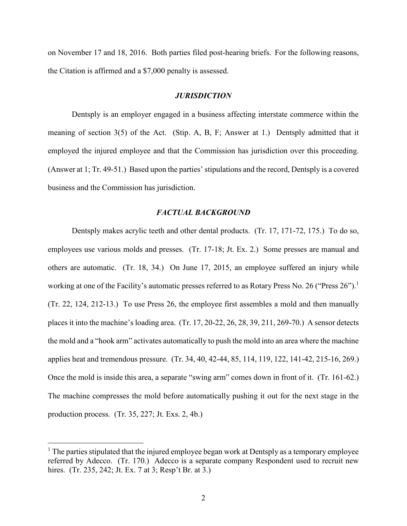on November 17 and 18, 2016. Both parties filed post-hearing briefs. For the following reasons, the Citation is affirmed and a \$7,000 penalty is assessed.

## *JURISDICTION*

Dentsply is an employer engaged in a business affecting interstate commerce within the meaning of section 3(5) of the Act. (Stip. A, B, F; Answer at 1.) Dentsply admitted that it employed the injured employee and that the Commission has jurisdiction over this proceeding. (Answer at 1; Tr. 49-51.) Based upon the parties' stipulations and the record, Dentsply is a covered business and the Commission has jurisdiction.

## *FACTUAL BACKGROUND*

Dentsply makes acrylic teeth and other dental products. (Tr. 17, 171-72, 175.) To do so, employees use various molds and presses. (Tr. 17-18; Jt. Ex. 2.) Some presses are manual and others are automatic. (Tr. 18, 34.) On June 17, 2015, an employee suffered an injury while working at one of the Facility's automatic presses referred to as Rotary Press No. 26 ("Press 26").<sup>1</sup> (Tr. 22, 124, 212-13.) To use Press 26, the employee first assembles a mold and then manually places it into the machine's loading area. (Tr. 17, 20-22, 26, 28, 39, 211, 269-70.) A sensor detects the mold and a "hook arm" activates automatically to push the mold into an area where the machine applies heat and tremendous pressure. (Tr. 34, 40, 42-44, 85, 114, 119, 122, 141-42, 215-16, 269.) Once the mold is inside this area, a separate "swing arm" comes down in front of it. (Tr. 161-62.) The machine compresses the mold before automatically pushing it out for the next stage in the production process. (Tr. 35, 227; Jt. Exs. 2, 4b.)

 $<sup>1</sup>$  The parties stipulated that the injured employee began work at Dentsply as a temporary employee</sup> referred by Adecco. (Tr. 170.) Adecco is a separate company Respondent used to recruit new hires. (Tr. 235, 242; Jt. Ex. 7 at 3; Resp't Br. at 3.)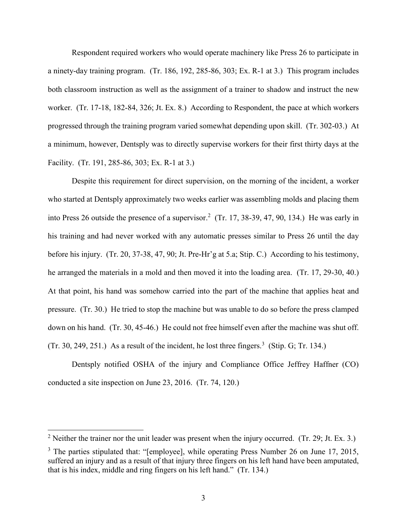Respondent required workers who would operate machinery like Press 26 to participate in a ninety-day training program. (Tr. 186, 192, 285-86, 303; Ex. R-1 at 3.) This program includes both classroom instruction as well as the assignment of a trainer to shadow and instruct the new worker. (Tr. 17-18, 182-84, 326; Jt. Ex. 8.) According to Respondent, the pace at which workers progressed through the training program varied somewhat depending upon skill. (Tr. 302-03.) At a minimum, however, Dentsply was to directly supervise workers for their first thirty days at the Facility. (Tr. 191, 285-86, 303; Ex. R-1 at 3.)

Despite this requirement for direct supervision, on the morning of the incident, a worker who started at Dentsply approximately two weeks earlier was assembling molds and placing them into Press 26 outside the presence of a supervisor. 2 (Tr. 17, 38-39, 47, 90, 134.) He was early in his training and had never worked with any automatic presses similar to Press 26 until the day before his injury. (Tr. 20, 37-38, 47, 90; Jt. Pre-Hr'g at 5.a; Stip. C.) According to his testimony, he arranged the materials in a mold and then moved it into the loading area. (Tr. 17, 29-30, 40.) At that point, his hand was somehow carried into the part of the machine that applies heat and pressure. (Tr. 30.) He tried to stop the machine but was unable to do so before the press clamped down on his hand. (Tr. 30, 45-46.) He could not free himself even after the machine was shut off. (Tr. 30, 249, 251.) As a result of the incident, he lost three fingers.<sup>3</sup> (Stip. G; Tr. 134.)

Dentsply notified OSHA of the injury and Compliance Office Jeffrey Haffner (CO) conducted a site inspection on June 23, 2016. (Tr. 74, 120.)

<sup>&</sup>lt;sup>2</sup> Neither the trainer nor the unit leader was present when the injury occurred. (Tr. 29; Jt. Ex. 3.)

 $3$  The parties stipulated that: "[employee], while operating Press Number 26 on June 17, 2015, suffered an injury and as a result of that injury three fingers on his left hand have been amputated, that is his index, middle and ring fingers on his left hand." (Tr. 134.)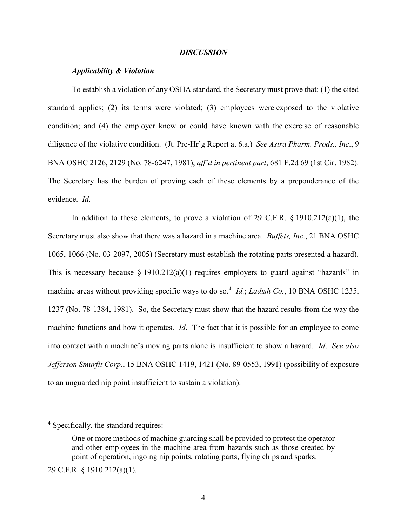## *DISCUSSION*

### *Applicability & Violation*

To establish a violation of any OSHA standard, the Secretary must prove that: (1) the cited standard applies; (2) its terms were violated; (3) employees were exposed to the violative condition; and (4) the employer knew or could have known with the exercise of reasonable diligence of the violative condition. (Jt. Pre-Hr'g Report at 6.a.) *See Astra Pharm. Prods., Inc*., 9 BNA OSHC 2126, 2129 (No. 78-6247, 1981), *aff'd in pertinent part*, 681 F.2d 69 (1st Cir. 1982). The Secretary has the burden of proving each of these elements by a preponderance of the evidence. *Id*.

In addition to these elements, to prove a violation of 29 C.F.R.  $\S$  1910.212(a)(1), the Secretary must also show that there was a hazard in a machine area. *Buffets, Inc*., 21 BNA OSHC 1065, 1066 (No. 03-2097, 2005) (Secretary must establish the rotating parts presented a hazard). This is necessary because  $\S 1910.212(a)(1)$  requires employers to guard against "hazards" in machine areas without providing specific ways to do so.<sup>4</sup> *Id.*; *Ladish Co.*, 10 BNA OSHC 1235, 1237 (No. 78-1384, 1981). So, the Secretary must show that the hazard results from the way the machine functions and how it operates. *Id*. The fact that it is possible for an employee to come into contact with a machine's moving parts alone is insufficient to show a hazard. *Id*. *See also Jefferson Smurfit Corp*., 15 BNA OSHC 1419, 1421 (No. 89-0553, 1991) (possibility of exposure to an unguarded nip point insufficient to sustain a violation).

<sup>&</sup>lt;sup>4</sup> Specifically, the standard requires:

One or more methods of machine guarding shall be provided to protect the operator and other employees in the machine area from hazards such as those created by point of operation, ingoing nip points, rotating parts, flying chips and sparks.

<sup>29</sup> C.F.R. § 1910.212(a)(1).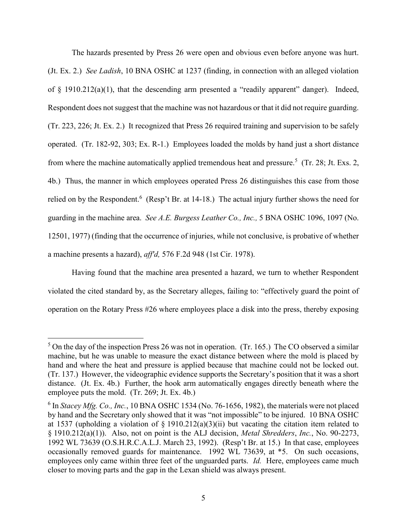The hazards presented by Press 26 were open and obvious even before anyone was hurt. (Jt. Ex. 2.) *See Ladish*, 10 BNA OSHC at 1237 (finding, in connection with an alleged violation of  $\S$  1910.212(a)(1), that the descending arm presented a "readily apparent" danger). Indeed, Respondent does not suggest that the machine was not hazardous or that it did not require guarding. (Tr. 223, 226; Jt. Ex. 2.) It recognized that Press 26 required training and supervision to be safely operated. (Tr. 182-92, 303; Ex. R-1.) Employees loaded the molds by hand just a short distance from where the machine automatically applied tremendous heat and pressure.<sup>5</sup> (Tr. 28; Jt. Exs. 2, 4b.) Thus, the manner in which employees operated Press 26 distinguishes this case from those relied on by the Respondent.<sup>6</sup> (Resp't Br. at 14-18.) The actual injury further shows the need for guarding in the machine area. *See A.E. Burgess Leather Co., Inc.,* 5 BNA OSHC 1096, 1097 (No. 12501, 1977) (finding that the occurrence of injuries, while not conclusive, is probative of whether a machine presents a hazard), *aff'd,* 576 F.2d 948 (1st Cir. 1978).

Having found that the machine area presented a hazard, we turn to whether Respondent violated the cited standard by, as the Secretary alleges, failing to: "effectively guard the point of operation on the Rotary Press #26 where employees place a disk into the press, thereby exposing

 $5$  On the day of the inspection Press 26 was not in operation. (Tr. 165.) The CO observed a similar machine, but he was unable to measure the exact distance between where the mold is placed by hand and where the heat and pressure is applied because that machine could not be locked out. (Tr. 137.) However, the videographic evidence supports the Secretary's position that it was a short distance. (Jt. Ex. 4b.) Further, the hook arm automatically engages directly beneath where the employee puts the mold. (Tr. 269; Jt. Ex. 4b.)

 $6$  In *Stacey Mfg. Co., Inc.*, 10 BNA OSHC 1534 (No. 76-1656, 1982), the materials were not placed by hand and the Secretary only showed that it was "not impossible" to be injured. 10 BNA OSHC at 1537 (upholding a violation of  $\S$  1910.212(a)(3)(ii) but vacating the citation item related to § 1910.212(a)(1)). Also, not on point is the ALJ decision, *Metal Shredders*, *Inc.*, No. 90-2273, 1992 WL 73639 (O.S.H.R.C.A.L.J. March 23, 1992). (Resp't Br. at 15.) In that case, employees occasionally removed guards for maintenance. 1992 WL 73639, at \*5. On such occasions, employees only came within three feet of the unguarded parts. *Id.* Here, employees came much closer to moving parts and the gap in the Lexan shield was always present.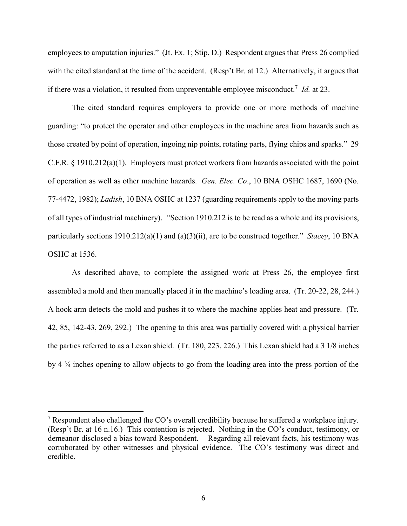employees to amputation injuries." (Jt. Ex. 1; Stip. D.) Respondent argues that Press 26 complied with the cited standard at the time of the accident. (Resp't Br. at 12.) Alternatively, it argues that if there was a violation, it resulted from unpreventable employee misconduct.<sup>7</sup> *Id.* at 23.

The cited standard requires employers to provide one or more methods of machine guarding: "to protect the operator and other employees in the machine area from hazards such as those created by point of operation, ingoing nip points, rotating parts, flying chips and sparks." 29 C.F.R. § 1910.212(a)(1). Employers must protect workers from hazards associated with the point of operation as well as other machine hazards. *Gen. Elec. Co*., 10 BNA OSHC 1687, 1690 (No. 77-4472, 1982); *Ladish*, 10 BNA OSHC at 1237 (guarding requirements apply to the moving parts of all types of industrial machinery). *"*Section 1910.212 is to be read as a whole and its provisions, particularly sections 1910.212(a)(1) and (a)(3)(ii), are to be construed together." *Stacey*, 10 BNA OSHC at 1536.

As described above, to complete the assigned work at Press 26, the employee first assembled a mold and then manually placed it in the machine's loading area. (Tr. 20-22, 28, 244.) A hook arm detects the mold and pushes it to where the machine applies heat and pressure. (Tr. 42, 85, 142-43, 269, 292.) The opening to this area was partially covered with a physical barrier the parties referred to as a Lexan shield. (Tr. 180, 223, 226.) This Lexan shield had a 3 1/8 inches by 4 ¾ inches opening to allow objects to go from the loading area into the press portion of the

<sup>&</sup>lt;sup>7</sup> Respondent also challenged the CO's overall credibility because he suffered a workplace injury. (Resp't Br. at 16 n.16.) This contention is rejected. Nothing in the CO's conduct, testimony, or demeanor disclosed a bias toward Respondent. Regarding all relevant facts, his testimony was corroborated by other witnesses and physical evidence. The CO's testimony was direct and credible.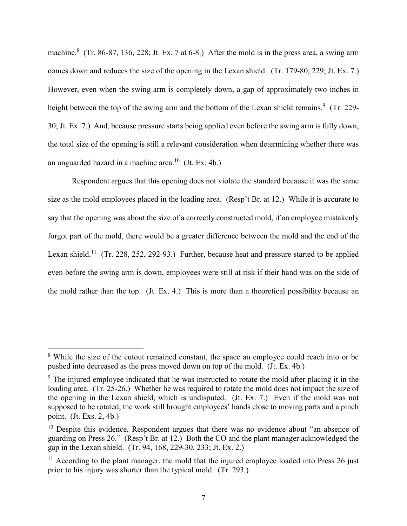machine.<sup>8</sup> (Tr. 86-87, 136, 228; Jt. Ex. 7 at 6-8.) After the mold is in the press area, a swing arm comes down and reduces the size of the opening in the Lexan shield. (Tr. 179-80, 229; Jt. Ex. 7.) However, even when the swing arm is completely down, a gap of approximately two inches in height between the top of the swing arm and the bottom of the Lexan shield remains.<sup>9</sup> (Tr. 229-30; Jt. Ex. 7.) And, because pressure starts being applied even before the swing arm is fully down, the total size of the opening is still a relevant consideration when determining whether there was an unguarded hazard in a machine area. 10 (Jt. Ex. 4b.)

Respondent argues that this opening does not violate the standard because it was the same size as the mold employees placed in the loading area. (Resp't Br. at 12.) While it is accurate to say that the opening was about the size of a correctly constructed mold, if an employee mistakenly forgot part of the mold, there would be a greater difference between the mold and the end of the Lexan shield.<sup>11</sup> (Tr. 228, 252, 292-93.) Further, because heat and pressure started to be applied even before the swing arm is down, employees were still at risk if their hand was on the side of the mold rather than the top. (Jt. Ex. 4.) This is more than a theoretical possibility because an

<sup>&</sup>lt;sup>8</sup> While the size of the cutout remained constant, the space an employee could reach into or be pushed into decreased as the press moved down on top of the mold. (Jt. Ex. 4b.)

<sup>&</sup>lt;sup>9</sup> The injured employee indicated that he was instructed to rotate the mold after placing it in the loading area. (Tr. 25-26.) Whether he was required to rotate the mold does not impact the size of the opening in the Lexan shield, which is undisputed. (Jt. Ex. 7.) Even if the mold was not supposed to be rotated, the work still brought employees' hands close to moving parts and a pinch point. (Jt. Exs. 2, 4b.)

<sup>&</sup>lt;sup>10</sup> Despite this evidence, Respondent argues that there was no evidence about "an absence of guarding on Press 26." (Resp't Br. at 12.) Both the CO and the plant manager acknowledged the gap in the Lexan shield. (Tr. 94, 168, 229-30, 233; Jt. Ex. 2.)

 $11$  According to the plant manager, the mold that the injured employee loaded into Press 26 just prior to his injury was shorter than the typical mold. (Tr. 293.)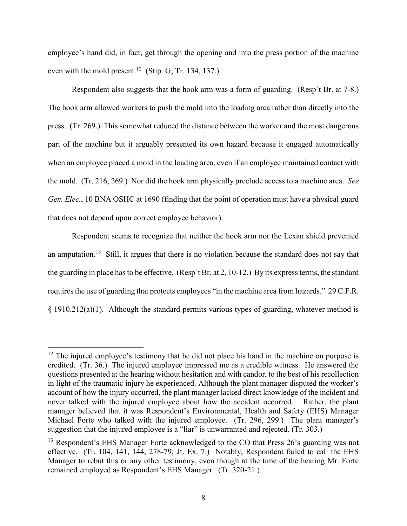employee's hand did, in fact, get through the opening and into the press portion of the machine even with the mold present.<sup>12</sup> (Stip. G; Tr. 134, 137.)

Respondent also suggests that the hook arm was a form of guarding. (Resp't Br. at 7-8.) The hook arm allowed workers to push the mold into the loading area rather than directly into the press. (Tr. 269.) This somewhat reduced the distance between the worker and the most dangerous part of the machine but it arguably presented its own hazard because it engaged automatically when an employee placed a mold in the loading area, even if an employee maintained contact with the mold. (Tr. 216, 269.) Nor did the hook arm physically preclude access to a machine area. *See Gen. Elec.*, 10 BNA OSHC at 1690 (finding that the point of operation must have a physical guard that does not depend upon correct employee behavior).

Respondent seems to recognize that neither the hook arm nor the Lexan shield prevented an amputation.<sup>13</sup> Still, it argues that there is no violation because the standard does not say that the guarding in place has to be effective. (Resp't Br. at 2, 10-12.) By its express terms, the standard requires the use of guarding that protects employees "in the machine area from hazards." 29 C.F.R. § 1910.212(a)(1). Although the standard permits various types of guarding, whatever method is

 $12$  The injured employee's testimony that he did not place his hand in the machine on purpose is credited. (Tr. 36.) The injured employee impressed me as a credible witness. He answered the questions presented at the hearing without hesitation and with candor, to the best of his recollection in light of the traumatic injury he experienced. Although the plant manager disputed the worker's account of how the injury occurred, the plant manager lacked direct knowledge of the incident and never talked with the injured employee about how the accident occurred. Rather, the plant manager believed that it was Respondent's Environmental, Health and Safety (EHS) Manager Michael Forte who talked with the injured employee. (Tr. 296, 299.) The plant manager's suggestion that the injured employee is a "liar" is unwarranted and rejected. (Tr. 303.)

<sup>&</sup>lt;sup>13</sup> Respondent's EHS Manager Forte acknowledged to the CO that Press 26's guarding was not effective. (Tr. 104, 141, 144, 278-79; Jt. Ex. 7.) Notably, Respondent failed to call the EHS Manager to rebut this or any other testimony, even though at the time of the hearing Mr. Forte remained employed as Respondent's EHS Manager. (Tr. 320-21.)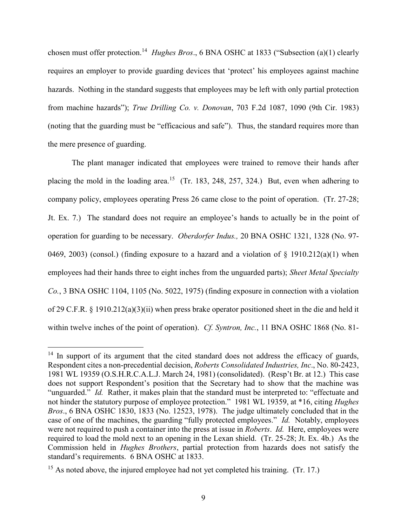chosen must offer protection.<sup>14</sup> *Hughes Bros.*, 6 BNA OSHC at 1833 ("Subsection (a)(1) clearly requires an employer to provide guarding devices that 'protect' his employees against machine hazards. Nothing in the standard suggests that employees may be left with only partial protection from machine hazards"); *True Drilling Co. v. Donovan*, 703 F.2d 1087, 1090 (9th Cir. 1983) (noting that the guarding must be "efficacious and safe"). Thus, the standard requires more than the mere presence of guarding.

The plant manager indicated that employees were trained to remove their hands after placing the mold in the loading area.<sup>15</sup> (Tr. 183, 248, 257, 324.) But, even when adhering to company policy, employees operating Press 26 came close to the point of operation. (Tr. 27-28; Jt. Ex. 7.) The standard does not require an employee's hands to actually be in the point of operation for guarding to be necessary. *Oberdorfer Indus.,* 20 BNA OSHC 1321, 1328 (No. 97- 0469, 2003) (consol.) (finding exposure to a hazard and a violation of  $\S$  1910.212(a)(1) when employees had their hands three to eight inches from the unguarded parts); *Sheet Metal Specialty Co.*, 3 BNA OSHC 1104, 1105 (No. 5022, 1975) (finding exposure in connection with a violation of 29 C.F.R. § 1910.212(a)(3)(ii) when press brake operator positioned sheet in the die and held it within twelve inches of the point of operation). *Cf. Syntron, Inc.*, 11 BNA OSHC 1868 (No. 81-

 $14$  In support of its argument that the cited standard does not address the efficacy of guards, Respondent cites a non-precedential decision, *Roberts Consolidated Industries, Inc*., No. 80-2423, 1981 WL 19359 (O.S.H.R.C.A.L.J. March 24, 1981) (consolidated). (Resp't Br. at 12.) This case does not support Respondent's position that the Secretary had to show that the machine was "unguarded." *Id.* Rather, it makes plain that the standard must be interpreted to: "effectuate and not hinder the statutory purpose of employee protection." 1981 WL 19359, at \*16, citing *Hughes Bros*., 6 BNA OSHC 1830, 1833 (No. 12523, 1978). The judge ultimately concluded that in the case of one of the machines, the guarding "fully protected employees." *Id.* Notably, employees were not required to push a container into the press at issue in *Roberts*. *Id.* Here, employees were required to load the mold next to an opening in the Lexan shield. (Tr. 25-28; Jt. Ex. 4b.) As the Commission held in *Hughes Brothers*, partial protection from hazards does not satisfy the standard's requirements. 6 BNA OSHC at 1833.

<sup>&</sup>lt;sup>15</sup> As noted above, the injured employee had not yet completed his training. (Tr. 17.)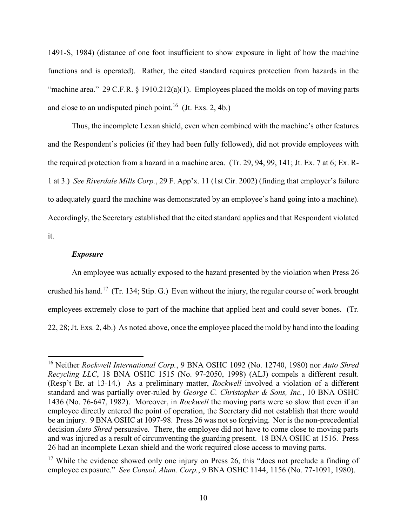1491-S, 1984) (distance of one foot insufficient to show exposure in light of how the machine functions and is operated). Rather, the cited standard requires protection from hazards in the "machine area." 29 C.F.R.  $\S$  1910.212(a)(1). Employees placed the molds on top of moving parts and close to an undisputed pinch point.<sup>16</sup> (Jt. Exs. 2, 4b.)

Thus, the incomplete Lexan shield, even when combined with the machine's other features and the Respondent's policies (if they had been fully followed), did not provide employees with the required protection from a hazard in a machine area. (Tr. 29, 94, 99, 141; Jt. Ex. 7 at 6; Ex. R-1 at 3.) *See Riverdale Mills Corp.*, 29 F. App'x. 11 (1st Cir. 2002) (finding that employer's failure to adequately guard the machine was demonstrated by an employee's hand going into a machine). Accordingly, the Secretary established that the cited standard applies and that Respondent violated it.

## *Exposure*

 $\overline{a}$ 

An employee was actually exposed to the hazard presented by the violation when Press 26 crushed his hand.<sup>17</sup> (Tr. 134; Stip. G.) Even without the injury, the regular course of work brought employees extremely close to part of the machine that applied heat and could sever bones. (Tr. 22, 28; Jt. Exs. 2, 4b.) As noted above, once the employee placed the mold by hand into the loading

<sup>16</sup> Neither *Rockwell International Corp.*, 9 BNA OSHC 1092 (No. 12740, 1980) nor *Auto Shred Recycling LLC*, 18 BNA OSHC 1515 (No. 97-2050, 1998) (ALJ) compels a different result. (Resp't Br. at 13-14.) As a preliminary matter, *Rockwell* involved a violation of a different standard and was partially over-ruled by *George C. Christopher & Sons, Inc.*, 10 BNA OSHC 1436 (No. 76-647, 1982). Moreover, in *Rockwell* the moving parts were so slow that even if an employee directly entered the point of operation, the Secretary did not establish that there would be an injury. 9 BNA OSHC at 1097-98. Press 26 was not so forgiving. Nor is the non-precedential decision *Auto Shred* persuasive. There, the employee did not have to come close to moving parts and was injured as a result of circumventing the guarding present. 18 BNA OSHC at 1516. Press 26 had an incomplete Lexan shield and the work required close access to moving parts.

<sup>&</sup>lt;sup>17</sup> While the evidence showed only one injury on Press 26, this "does not preclude a finding of employee exposure." *See Consol. Alum. Corp.*, 9 BNA OSHC 1144, 1156 (No. 77-1091, 1980).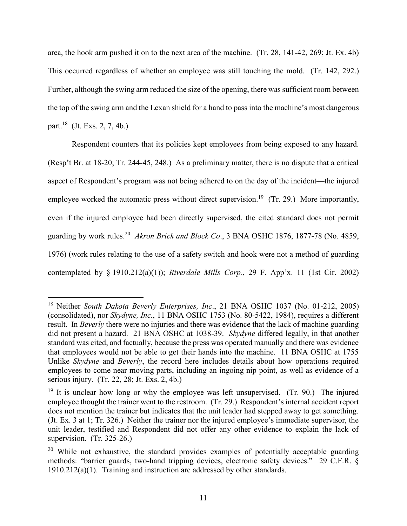area, the hook arm pushed it on to the next area of the machine. (Tr. 28, 141-42, 269; Jt. Ex. 4b) This occurred regardless of whether an employee was still touching the mold. (Tr. 142, 292.) Further, although the swing arm reduced the size of the opening, there was sufficient room between the top of the swing arm and the Lexan shield for a hand to pass into the machine's most dangerous part. 18 (Jt. Exs. 2, 7, 4b.)

Respondent counters that its policies kept employees from being exposed to any hazard. (Resp't Br. at 18-20; Tr. 244-45, 248.) As a preliminary matter, there is no dispute that a critical aspect of Respondent's program was not being adhered to on the day of the incident—the injured employee worked the automatic press without direct supervision.<sup>19</sup> (Tr. 29.) More importantly, even if the injured employee had been directly supervised, the cited standard does not permit guarding by work rules. 20 *Akron Brick and Block Co*., 3 BNA OSHC 1876, 1877-78 (No. 4859, 1976) (work rules relating to the use of a safety switch and hook were not a method of guarding contemplated by § 1910.212(a)(1)); *Riverdale Mills Corp.*, 29 F. App'x. 11 (1st Cir. 2002)

<sup>18</sup> Neither *South Dakota Beverly Enterprises, Inc*., 21 BNA OSHC 1037 (No. 01-212, 2005) (consolidated), nor *Skydyne, Inc.*, 11 BNA OSHC 1753 (No. 80-5422, 1984), requires a different result. In *Beverly* there were no injuries and there was evidence that the lack of machine guarding did not present a hazard. 21 BNA OSHC at 1038-39. *Skydyne* differed legally, in that another standard was cited, and factually, because the press was operated manually and there was evidence that employees would not be able to get their hands into the machine. 11 BNA OSHC at 1755 Unlike *Skydyne* and *Beverly*, the record here includes details about how operations required employees to come near moving parts, including an ingoing nip point, as well as evidence of a serious injury. (Tr. 22, 28; Jt. Exs. 2, 4b.)

 $19$  It is unclear how long or why the employee was left unsupervised. (Tr. 90.) The injured employee thought the trainer went to the restroom. (Tr. 29.) Respondent's internal accident report does not mention the trainer but indicates that the unit leader had stepped away to get something. (Jt. Ex. 3 at 1; Tr. 326.) Neither the trainer nor the injured employee's immediate supervisor, the unit leader, testified and Respondent did not offer any other evidence to explain the lack of supervision. (Tr. 325-26.)

 $20$  While not exhaustive, the standard provides examples of potentially acceptable guarding methods: "barrier guards, two-hand tripping devices, electronic safety devices." 29 C.F.R. § 1910.212(a)(1). Training and instruction are addressed by other standards.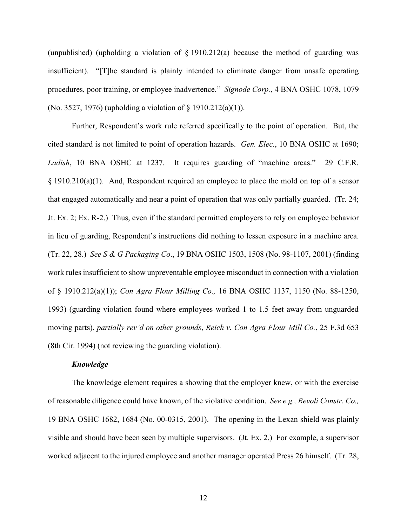(unpublished) (upholding a violation of  $\S$  1910.212(a) because the method of guarding was insufficient). "[T]he standard is plainly intended to eliminate danger from unsafe operating procedures, poor training, or employee inadvertence." *Signode Corp.*, 4 BNA OSHC 1078, 1079 (No. 3527, 1976) (upholding a violation of § 1910.212(a)(1)).

Further, Respondent's work rule referred specifically to the point of operation. But, the cited standard is not limited to point of operation hazards. *Gen. Elec.*, 10 BNA OSHC at 1690; *Ladish*, 10 BNA OSHC at 1237. It requires guarding of "machine areas." 29 C.F.R. § 1910.210(a)(1). And, Respondent required an employee to place the mold on top of a sensor that engaged automatically and near a point of operation that was only partially guarded. (Tr. 24; Jt. Ex. 2; Ex. R-2.) Thus, even if the standard permitted employers to rely on employee behavior in lieu of guarding, Respondent's instructions did nothing to lessen exposure in a machine area. (Tr. 22, 28.) *See S & G Packaging Co*., 19 BNA OSHC 1503, 1508 (No. 98-1107, 2001) (finding work rules insufficient to show unpreventable employee misconduct in connection with a violation of § 1910.212(a)(1)); *Con Agra Flour Milling Co.,* 16 BNA OSHC 1137, 1150 (No. 88-1250, 1993) (guarding violation found where employees worked 1 to 1.5 feet away from unguarded moving parts), *partially rev'd on other grounds*, *Reich v. Con Agra Flour Mill Co.*, 25 F.3d 653 (8th Cir. 1994) (not reviewing the guarding violation).

## *Knowledge*

The knowledge element requires a showing that the employer knew, or with the exercise of reasonable diligence could have known, of the violative condition. *See e.g., Revoli Constr. Co.,*  19 BNA OSHC 1682, 1684 (No. 00-0315, 2001). The opening in the Lexan shield was plainly visible and should have been seen by multiple supervisors. (Jt. Ex. 2.) For example, a supervisor worked adjacent to the injured employee and another manager operated Press 26 himself. (Tr. 28,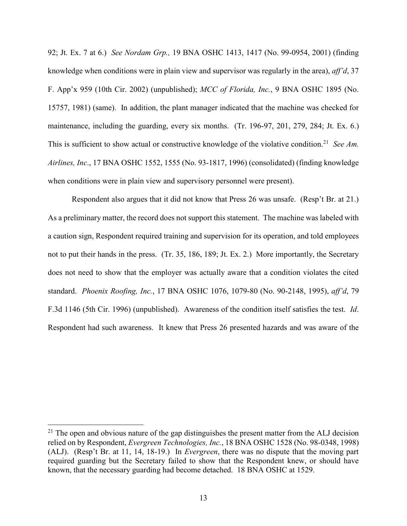92; Jt. Ex. 7 at 6.) *See Nordam Grp.,* 19 BNA OSHC 1413, 1417 (No. 99-0954, 2001) (finding knowledge when conditions were in plain view and supervisor was regularly in the area), *aff'd*, 37 F. App'x 959 (10th Cir. 2002) (unpublished); *MCC of Florida, Inc.*, 9 BNA OSHC 1895 (No. 15757, 1981) (same). In addition, the plant manager indicated that the machine was checked for maintenance, including the guarding, every six months. (Tr. 196-97, 201, 279, 284; Jt. Ex. 6.) This is sufficient to show actual or constructive knowledge of the violative condition.<sup>21</sup> See Am. *Airlines, Inc*., 17 BNA OSHC 1552, 1555 (No. 93-1817, 1996) (consolidated) (finding knowledge when conditions were in plain view and supervisory personnel were present).

Respondent also argues that it did not know that Press 26 was unsafe. (Resp't Br. at 21.) As a preliminary matter, the record does not support this statement. The machine was labeled with a caution sign, Respondent required training and supervision for its operation, and told employees not to put their hands in the press. (Tr. 35, 186, 189; Jt. Ex. 2.) More importantly, the Secretary does not need to show that the employer was actually aware that a condition violates the cited standard. *Phoenix Roofing, Inc.*, 17 BNA OSHC 1076, 1079-80 (No. 90-2148, 1995), *aff'd*, 79 F.3d 1146 (5th Cir. 1996) (unpublished). Awareness of the condition itself satisfies the test. *Id*. Respondent had such awareness. It knew that Press 26 presented hazards and was aware of the

 $21$  The open and obvious nature of the gap distinguishes the present matter from the ALJ decision relied on by Respondent, *Evergreen Technologies, Inc.*, 18 BNA OSHC 1528 (No. 98-0348, 1998) (ALJ). (Resp't Br. at 11, 14, 18-19.) In *Evergreen*, there was no dispute that the moving part required guarding but the Secretary failed to show that the Respondent knew, or should have known, that the necessary guarding had become detached. 18 BNA OSHC at 1529.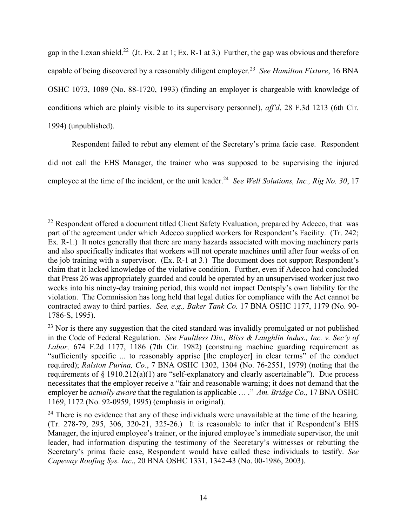gap in the Lexan shield.<sup>22</sup> (Jt. Ex. 2 at 1; Ex. R-1 at 3.) Further, the gap was obvious and therefore capable of being discovered by a reasonably diligent employer.<sup>23</sup> *See Hamilton Fixture*, 16 BNA OSHC 1073, 1089 (No. 88-1720, 1993) (finding an employer is chargeable with knowledge of conditions which are plainly visible to its supervisory personnel), *aff'd*, 28 F.3d 1213 (6th Cir. 1994) (unpublished).

Respondent failed to rebut any element of the Secretary's prima facie case. Respondent did not call the EHS Manager, the trainer who was supposed to be supervising the injured employee at the time of the incident, or the unit leader.<sup>24</sup> See Well Solutions, Inc., Rig No. 30, 17

 $22$  Respondent offered a document titled Client Safety Evaluation, prepared by Adecco, that was part of the agreement under which Adecco supplied workers for Respondent's Facility. (Tr. 242; Ex. R-1.) It notes generally that there are many hazards associated with moving machinery parts and also specifically indicates that workers will not operate machines until after four weeks of on the job training with a supervisor. (Ex. R-1 at 3.) The document does not support Respondent's claim that it lacked knowledge of the violative condition. Further, even if Adecco had concluded that Press 26 was appropriately guarded and could be operated by an unsupervised worker just two weeks into his ninety-day training period, this would not impact Dentsply's own liability for the violation. The Commission has long held that legal duties for compliance with the Act cannot be contracted away to third parties. *See, e.g., Baker Tank Co.* 17 BNA OSHC 1177, 1179 (No. 90- 1786-S, 1995).

<sup>&</sup>lt;sup>23</sup> Nor is there any suggestion that the cited standard was invalidly promulgated or not published in the Code of Federal Regulation. *See Faultless Div., Bliss & Laughlin Indus., Inc. v. Sec'y of Labor,* 674 F.2d 1177, 1186 (7th Cir. 1982) (construing machine guarding requirement as "sufficiently specific ... to reasonably apprise [the employer] in clear terms" of the conduct required); *Ralston Purina, Co.*, 7 BNA OSHC 1302, 1304 (No. 76-2551, 1979) (noting that the requirements of  $\S$  1910.212(a)(1) are "self-explanatory and clearly ascertainable"). Due process necessitates that the employer receive a "fair and reasonable warning; it does not demand that the employer be *actually aware* that the regulation is applicable … ." *Am. Bridge Co.,* 17 BNA OSHC 1169, 1172 (No. 92-0959, 1995) (emphasis in original).

 $24$  There is no evidence that any of these individuals were unavailable at the time of the hearing. (Tr. 278-79, 295, 306, 320-21, 325-26.) It is reasonable to infer that if Respondent's EHS Manager, the injured employee's trainer, or the injured employee's immediate supervisor, the unit leader, had information disputing the testimony of the Secretary's witnesses or rebutting the Secretary's prima facie case, Respondent would have called these individuals to testify. *See Capeway Roofing Sys. Inc*., 20 BNA OSHC 1331, 1342-43 (No. 00-1986, 2003).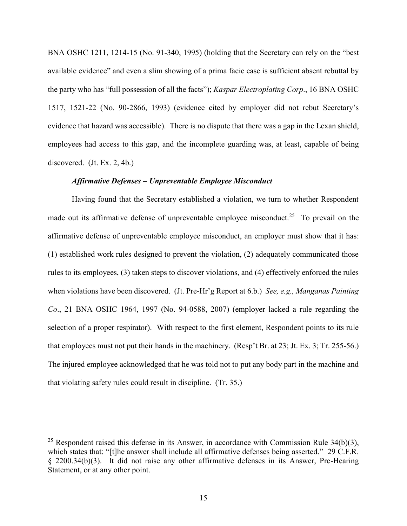BNA OSHC 1211, 1214-15 (No. 91-340, 1995) (holding that the Secretary can rely on the "best available evidence" and even a slim showing of a prima facie case is sufficient absent rebuttal by the party who has "full possession of all the facts"); *Kaspar Electroplating Corp*., 16 BNA OSHC 1517, 1521-22 (No. 90-2866, 1993) (evidence cited by employer did not rebut Secretary's evidence that hazard was accessible). There is no dispute that there was a gap in the Lexan shield, employees had access to this gap, and the incomplete guarding was, at least, capable of being discovered. (Jt. Ex. 2, 4b.)

### *Affirmative Defenses – Unpreventable Employee Misconduct*

Having found that the Secretary established a violation, we turn to whether Respondent made out its affirmative defense of unpreventable employee misconduct.<sup>25</sup> To prevail on the affirmative defense of unpreventable employee misconduct, an employer must show that it has: (1) established work rules designed to prevent the violation, (2) adequately communicated those rules to its employees, (3) taken steps to discover violations, and (4) effectively enforced the rules when violations have been discovered. (Jt. Pre-Hr'g Report at 6.b.) *See, e.g., Manganas Painting Co*., 21 BNA OSHC 1964, 1997 (No. 94-0588, 2007) (employer lacked a rule regarding the selection of a proper respirator). With respect to the first element, Respondent points to its rule that employees must not put their hands in the machinery. (Resp't Br. at 23; Jt. Ex. 3; Tr. 255-56.) The injured employee acknowledged that he was told not to put any body part in the machine and that violating safety rules could result in discipline. (Tr. 35.)

<sup>&</sup>lt;sup>25</sup> Respondent raised this defense in its Answer, in accordance with Commission Rule  $34(b)(3)$ , which states that: "[t]he answer shall include all affirmative defenses being asserted." 29 C.F.R. § 2200.34(b)(3). It did not raise any other affirmative defenses in its Answer, Pre-Hearing Statement, or at any other point.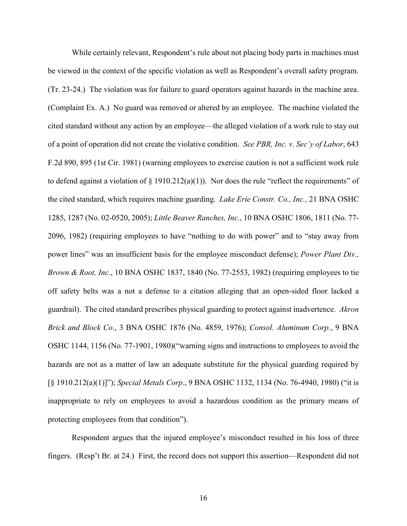While certainly relevant, Respondent's rule about not placing body parts in machines must be viewed in the context of the specific violation as well as Respondent's overall safety program. (Tr. 23-24.) The violation was for failure to guard operators against hazards in the machine area. (Complaint Ex. A.) No guard was removed or altered by an employee. The machine violated the cited standard without any action by an employee—the alleged violation of a work rule to stay out of a point of operation did not create the violative condition. *See PBR, Inc. v. Sec'y of Labor*, 643 F.2d 890, 895 (1st Cir. 1981) (warning employees to exercise caution is not a sufficient work rule to defend against a violation of  $\S$  1910.212(a)(1)). Nor does the rule "reflect the requirements" of the cited standard, which requires machine guarding. *Lake Erie Constr. Co., Inc.,* 21 BNA OSHC 1285, 1287 (No. 02-0520, 2005); *Little Beaver Ranches, Inc*., 10 BNA OSHC 1806, 1811 (No. 77- 2096, 1982) (requiring employees to have "nothing to do with power" and to "stay away from power lines" was an insufficient basis for the employee misconduct defense); *Power Plant Div., Brown & Root, Inc*., 10 BNA OSHC 1837, 1840 (No. 77-2553, 1982) (requiring employees to tie off safety belts was a not a defense to a citation alleging that an open-sided floor lacked a guardrail). The cited standard prescribes physical guarding to protect against inadvertence. *Akron Brick and Block Co*., 3 BNA OSHC 1876 (No. 4859, 1976); *Consol. Aluminum Corp.*, 9 BNA OSHC 1144, 1156 (No. 77-1901, 1980)("warning signs and instructions to employees to avoid the hazards are not as a matter of law an adequate substitute for the physical guarding required by [§ 1910.212(a)(1)]"); *Special Metals Corp*., 9 BNA OSHC 1132, 1134 (No. 76-4940, 1980) ("it is inappropriate to rely on employees to avoid a hazardous condition as the primary means of protecting employees from that condition").

Respondent argues that the injured employee's misconduct resulted in his loss of three fingers. (Resp't Br. at 24.) First, the record does not support this assertion—Respondent did not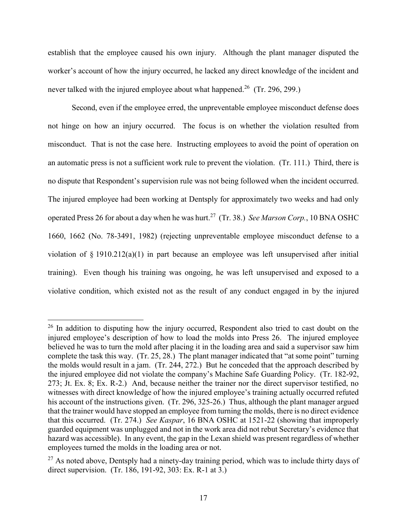establish that the employee caused his own injury. Although the plant manager disputed the worker's account of how the injury occurred, he lacked any direct knowledge of the incident and never talked with the injured employee about what happened.<sup>26</sup> (Tr. 296, 299.)

Second, even if the employee erred, the unpreventable employee misconduct defense does not hinge on how an injury occurred. The focus is on whether the violation resulted from misconduct. That is not the case here. Instructing employees to avoid the point of operation on an automatic press is not a sufficient work rule to prevent the violation. (Tr. 111.) Third, there is no dispute that Respondent's supervision rule was not being followed when the incident occurred. The injured employee had been working at Dentsply for approximately two weeks and had only operated Press 26 for about a day when he was hurt.<sup>27</sup> (Tr. 38.) *See Marson Corp.*, 10 BNA OSHC 1660, 1662 (No. 78-3491, 1982) (rejecting unpreventable employee misconduct defense to a violation of § 1910.212(a)(1) in part because an employee was left unsupervised after initial training). Even though his training was ongoing, he was left unsupervised and exposed to a violative condition, which existed not as the result of any conduct engaged in by the injured

<sup>&</sup>lt;sup>26</sup> In addition to disputing how the injury occurred, Respondent also tried to cast doubt on the injured employee's description of how to load the molds into Press 26. The injured employee believed he was to turn the mold after placing it in the loading area and said a supervisor saw him complete the task this way. (Tr. 25, 28.) The plant manager indicated that "at some point" turning the molds would result in a jam. (Tr. 244, 272.) But he conceded that the approach described by the injured employee did not violate the company's Machine Safe Guarding Policy. (Tr. 182-92, 273; Jt. Ex. 8; Ex. R-2.) And, because neither the trainer nor the direct supervisor testified, no witnesses with direct knowledge of how the injured employee's training actually occurred refuted his account of the instructions given. (Tr. 296, 325-26.) Thus, although the plant manager argued that the trainer would have stopped an employee from turning the molds, there is no direct evidence that this occurred. (Tr. 274.) *See Kaspar*, 16 BNA OSHC at 1521-22 (showing that improperly guarded equipment was unplugged and not in the work area did not rebut Secretary's evidence that hazard was accessible). In any event, the gap in the Lexan shield was present regardless of whether employees turned the molds in the loading area or not.

 $27$  As noted above, Dentsply had a ninety-day training period, which was to include thirty days of direct supervision. (Tr. 186, 191-92, 303: Ex. R-1 at 3.)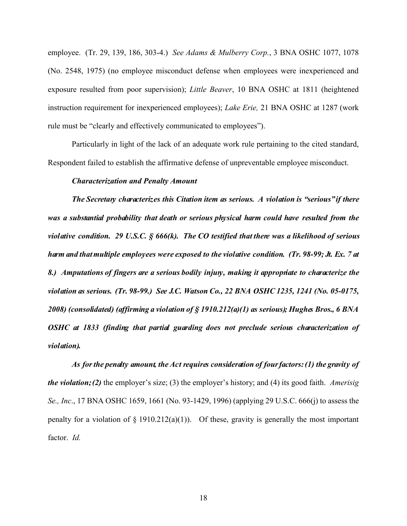employee. (Tr. 29, 139, 186, 303-4.) *See Adams & Mulberry Corp.*, 3 BNA OSHC 1077, 1078 (No. 2548, 1975) (no employee misconduct defense when employees were inexperienced and exposure resulted from poor supervision); *Little Beaver*, 10 BNA OSHC at 1811 (heightened instruction requirement for inexperienced employees); *Lake Erie,* 21 BNA OSHC at 1287 (work rule must be "clearly and effectively communicated to employees").

Particularly in light of the lack of an adequate work rule pertaining to the cited standard, Respondent failed to establish the affirmative defense of unpreventable employee misconduct.

#### *Characterization and Penalty Amount*

*The Secretary characterizes this Citation item as serious. A violation is "serious" if there was a substantial probability that death or serious physical harm could have resulted from the violative condition. 29 U.S.C. § 666(k). The CO testified that there was a likelihood of serious harm and that multiple employees were exposed to the violative condition. (Tr. 98-99; Jt. Ex. 7 at 8.) Amputations of fingers are a serious bodily injury, making it appropriate to characterize the violation as serious. (Tr. 98-99.) See J.C. Watson Co., 22 BNA OSHC 1235, 1241 (No. 05-0175, 2008) (consolidated) (affirming a violation of § 1910.212(a)(1) as serious); Hughes Bros., 6 BNA OSHC at 1833 (finding that partial guarding does not preclude serious characterization of violation).* 

*As for the penalty amount, the Act requires consideration of four factors: (1) the gravity of the violation; (2)* the employer's size; (3) the employer's history; and (4) its good faith. *Amerisig Se., Inc*., 17 BNA OSHC 1659, 1661 (No. 93-1429, 1996) (applying 29 U.S.C. 666(j) to assess the penalty for a violation of  $\S 1910.212(a)(1)$ . Of these, gravity is generally the most important factor. *Id.*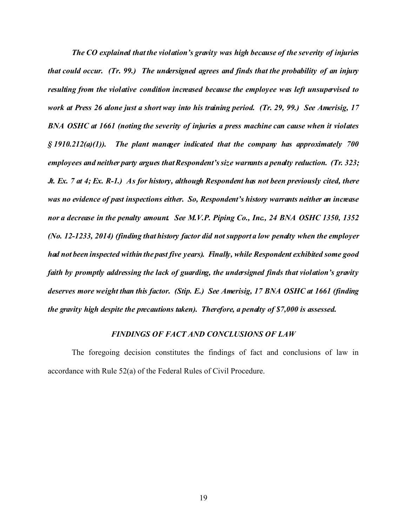*The CO explained that the violation's gravity was high because of the severity of injuries that could occur. (Tr. 99.) The undersigned agrees and finds that the probability of an injury resulting from the violative condition increased because the employee was left unsupervised to work at Press 26 alone just a short way into his training period. (Tr. 29, 99.) See Amerisig, 17 BNA OSHC at 1661 (noting the severity of injuries a press machine can cause when it violates § 1910.212(a)(1)). The plant manager indicated that the company has approximately 700 employees and neither party argues that Respondent's size warrants a penalty reduction. (Tr. 323; Jt. Ex. 7 at 4; Ex. R-1.) As for history, although Respondent has not been previously cited, there was no evidence of past inspections either. So, Respondent's history warrants neither an increase nor a decrease in the penalty amount. See M.V.P. Piping Co., Inc., 24 BNA OSHC 1350, 1352 (No. 12-1233, 2014) (finding that history factor did not support a low penalty when the employer had not been inspected within the past five years). Finally, while Respondent exhibited some good faith by promptly addressing the lack of guarding, the undersigned finds that violation's gravity deserves more weight than this factor. (Stip. E.) See Amerisig, 17 BNA OSHC at 1661 (finding the gravity high despite the precautions taken). Therefore, a penalty of \$7,000 is assessed.* 

## *FINDINGS OF FACT AND CONCLUSIONS OF LAW*

The foregoing decision constitutes the findings of fact and conclusions of law in accordance with Rule 52(a) of the Federal Rules of Civil Procedure.